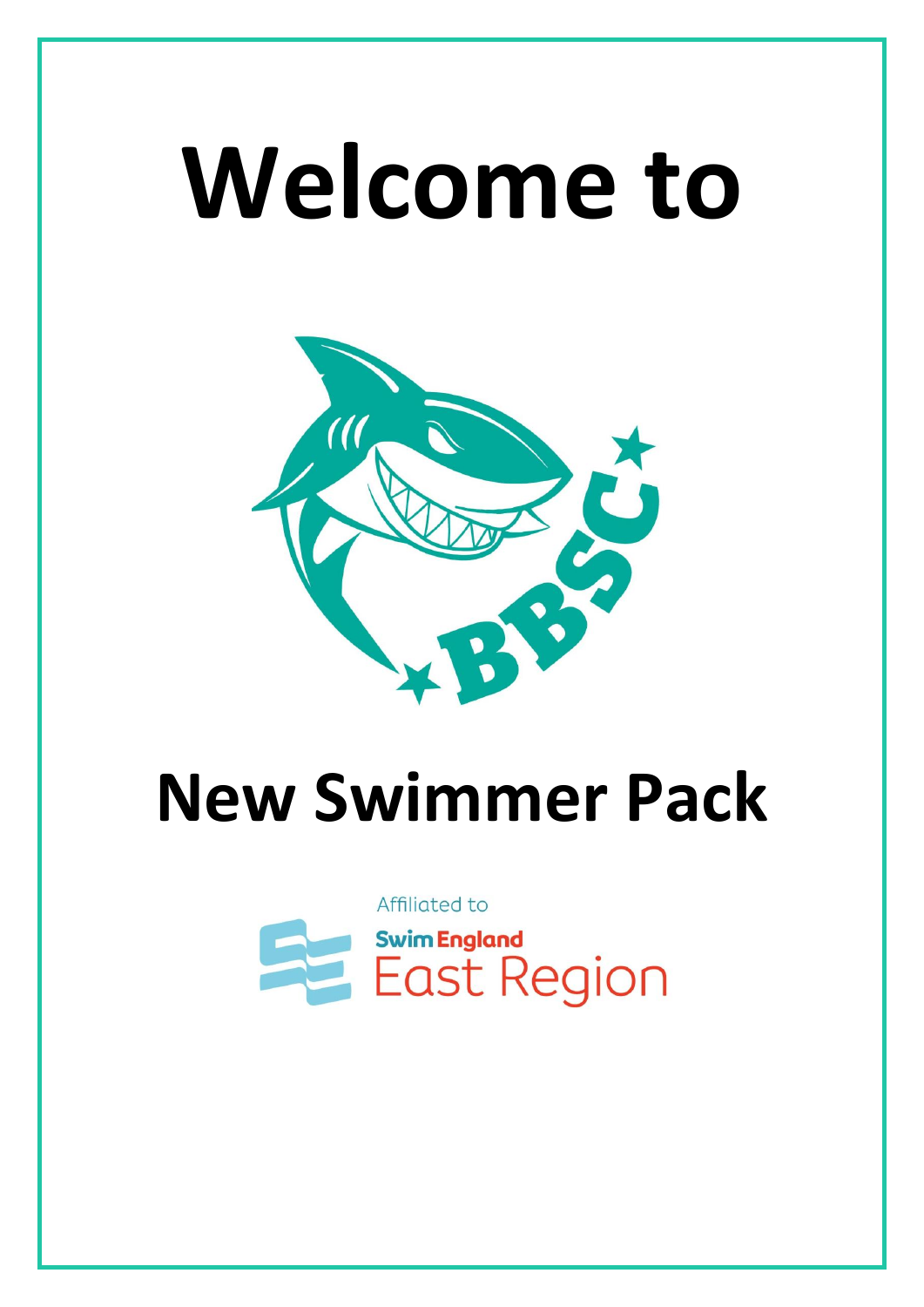# **Welcome to**



# **New Swimmer Pack**

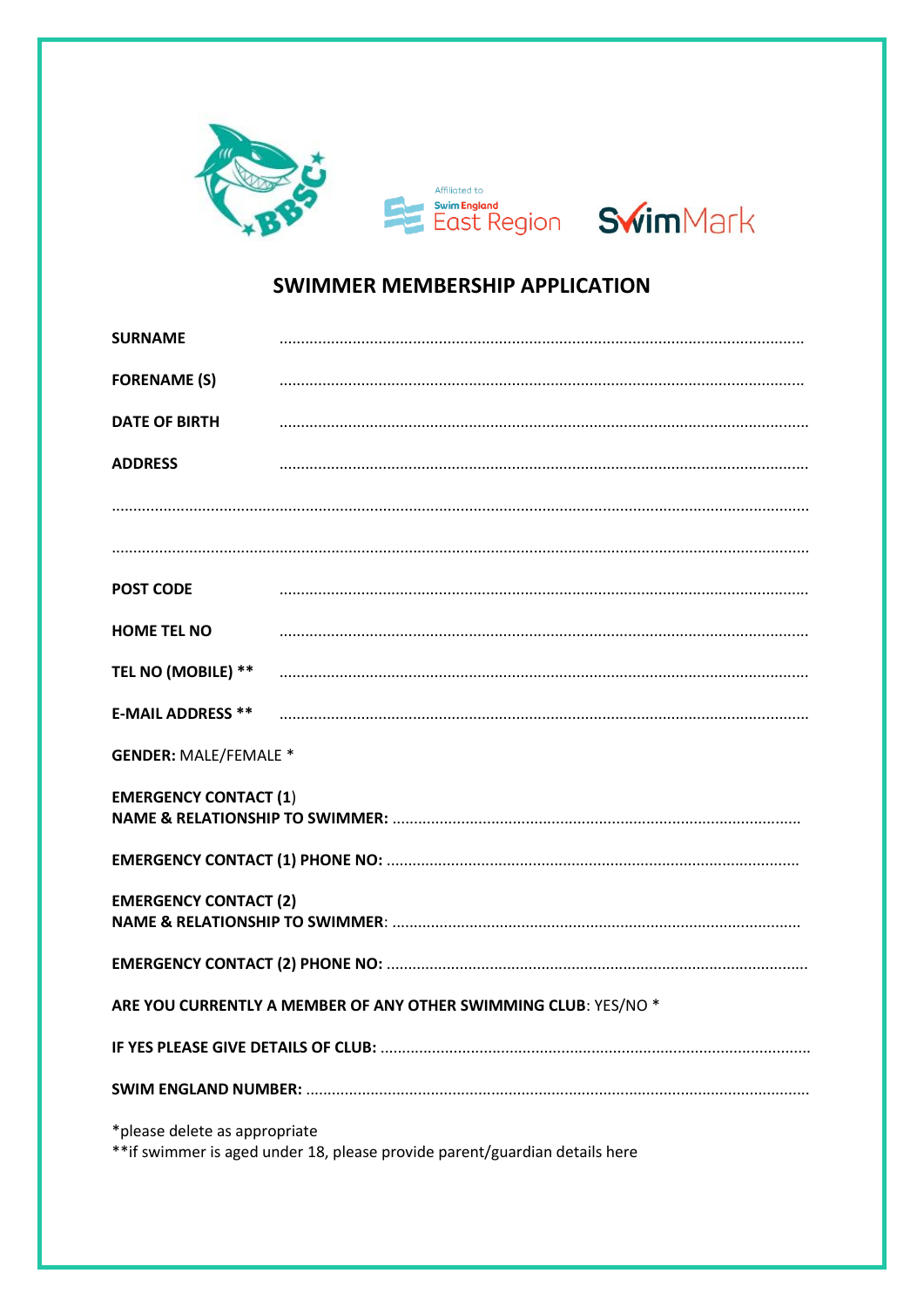

### SWIMMER MEMBERSHIP APPLICATION

| <b>SURNAME</b>                                                                                               |  |  |  |  |
|--------------------------------------------------------------------------------------------------------------|--|--|--|--|
| <b>FORENAME (S)</b>                                                                                          |  |  |  |  |
| <b>DATE OF BIRTH</b>                                                                                         |  |  |  |  |
| <b>ADDRESS</b>                                                                                               |  |  |  |  |
|                                                                                                              |  |  |  |  |
|                                                                                                              |  |  |  |  |
| <b>POST CODE</b>                                                                                             |  |  |  |  |
| <b>HOME TEL NO</b>                                                                                           |  |  |  |  |
| TEL NO (MOBILE) **                                                                                           |  |  |  |  |
| <b>E-MAIL ADDRESS **</b>                                                                                     |  |  |  |  |
| <b>GENDER: MALE/FEMALE *</b>                                                                                 |  |  |  |  |
| <b>EMERGENCY CONTACT (1)</b>                                                                                 |  |  |  |  |
|                                                                                                              |  |  |  |  |
| <b>EMERGENCY CONTACT (2)</b>                                                                                 |  |  |  |  |
|                                                                                                              |  |  |  |  |
| ARE YOU CURRENTLY A MEMBER OF ANY OTHER SWIMMING CLUB: YES/NO *                                              |  |  |  |  |
|                                                                                                              |  |  |  |  |
|                                                                                                              |  |  |  |  |
| *please delete as appropriate<br>** if swimmer is aged under 18, please provide parent/guardian details here |  |  |  |  |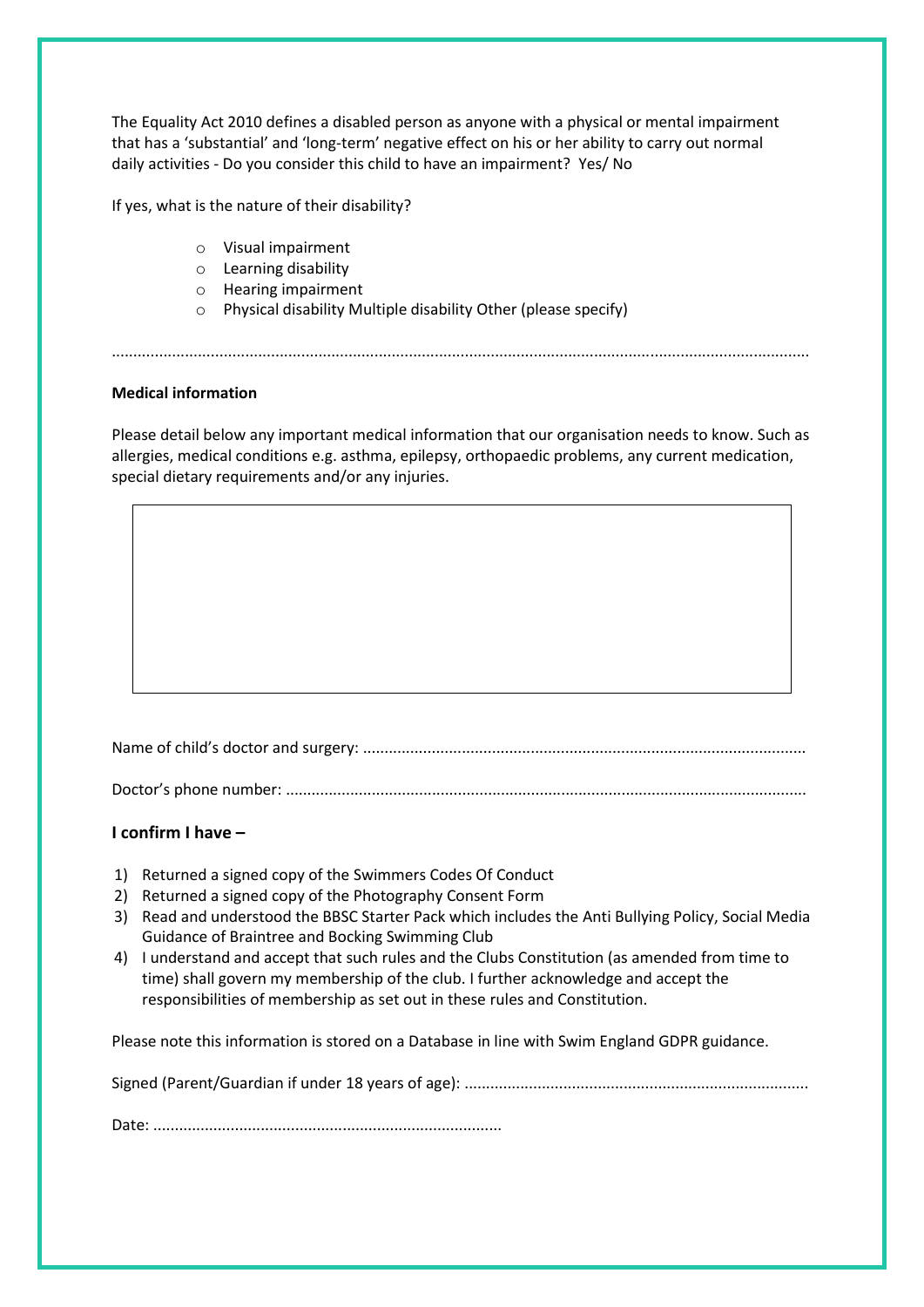The Equality Act 2010 defines a disabled person as anyone with a physical or mental impairment that has a 'substantial' and 'long-term' negative effect on his or her ability to carry out normal daily activities - Do you consider this child to have an impairment? Yes/ No

If yes, what is the nature of their disability?

- o Visual impairment
- o Learning disability
- o Hearing impairment
- o Physical disability Multiple disability Other (please specify)

#### **Medical information**

Please detail below any important medical information that our organisation needs to know. Such as allergies, medical conditions e.g. asthma, epilepsy, orthopaedic problems, any current medication, special dietary requirements and/or any injuries.

..................................................................................................................................................................

Name of child's doctor and surgery: .......................................................................................................

Doctor's phone number: .........................................................................................................................

#### **I confirm I have –**

- 1) Returned a signed copy of the Swimmers Codes Of Conduct
- 2) Returned a signed copy of the Photography Consent Form
- 3) Read and understood the BBSC Starter Pack which includes the Anti Bullying Policy, Social Media Guidance of Braintree and Bocking Swimming Club
- 4) I understand and accept that such rules and the Clubs Constitution (as amended from time to time) shall govern my membership of the club. I further acknowledge and accept the responsibilities of membership as set out in these rules and Constitution.

Please note this information is stored on a Database in line with Swim England GDPR guidance.

Signed (Parent/Guardian if under 18 years of age): ................................................................................

Date: .................................................................................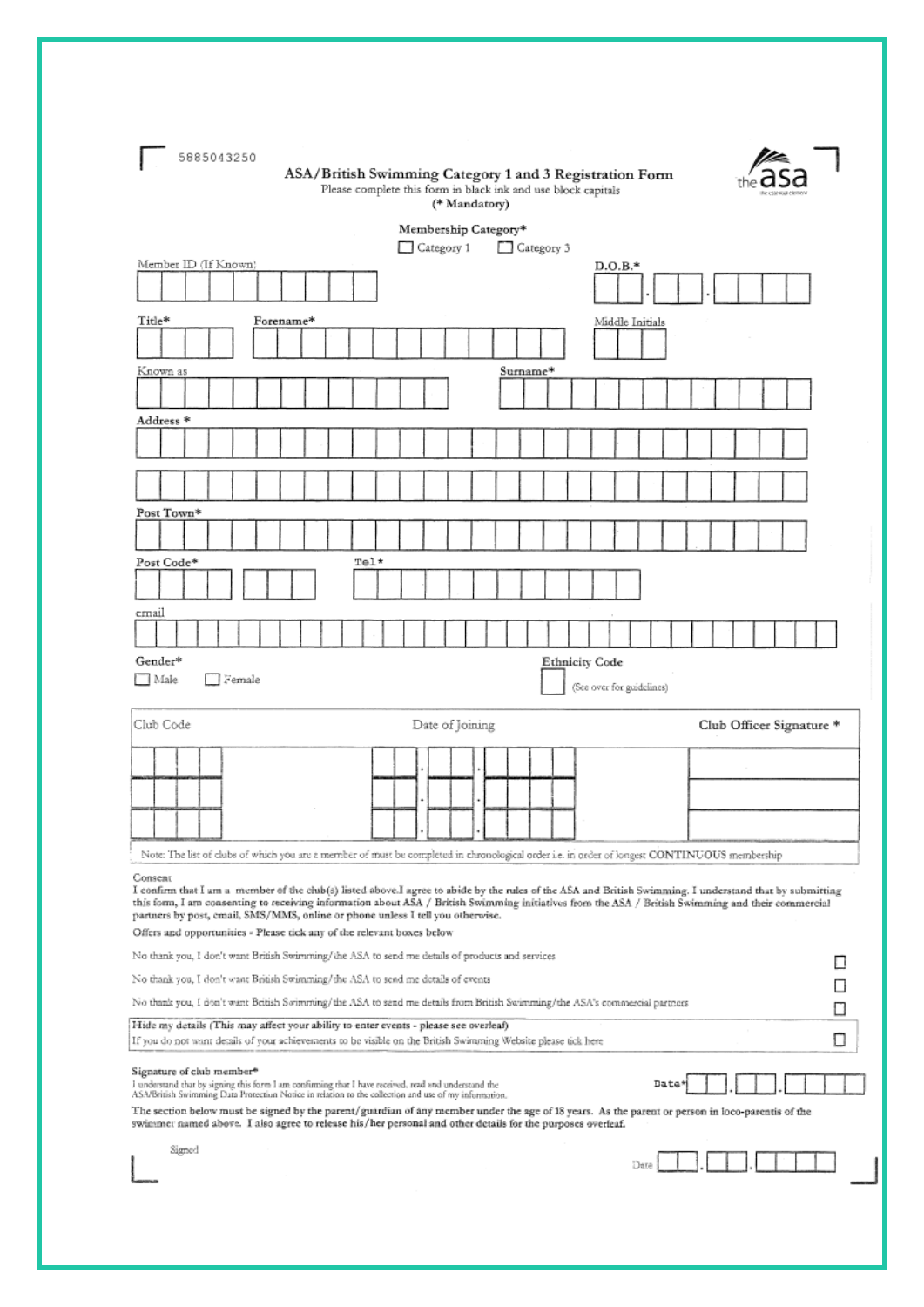| 5885043250<br>ASA/British Swimming Category 1 and 3 Registration Form<br>Please complete this form in black ink and use block capitals<br>(* Mandatory)                                                                                                                                                                                                                                                   |                           |
|-----------------------------------------------------------------------------------------------------------------------------------------------------------------------------------------------------------------------------------------------------------------------------------------------------------------------------------------------------------------------------------------------------------|---------------------------|
| Membership Category*                                                                                                                                                                                                                                                                                                                                                                                      |                           |
| Category 3<br>Category 1<br>Member ID (If Known)                                                                                                                                                                                                                                                                                                                                                          | D.O.B.*                   |
|                                                                                                                                                                                                                                                                                                                                                                                                           |                           |
| Title*<br>Forename*                                                                                                                                                                                                                                                                                                                                                                                       | Middle Initials           |
|                                                                                                                                                                                                                                                                                                                                                                                                           |                           |
| Known as<br>Surname*                                                                                                                                                                                                                                                                                                                                                                                      |                           |
|                                                                                                                                                                                                                                                                                                                                                                                                           |                           |
| Address *                                                                                                                                                                                                                                                                                                                                                                                                 |                           |
|                                                                                                                                                                                                                                                                                                                                                                                                           |                           |
|                                                                                                                                                                                                                                                                                                                                                                                                           |                           |
|                                                                                                                                                                                                                                                                                                                                                                                                           |                           |
| Post Town*                                                                                                                                                                                                                                                                                                                                                                                                |                           |
|                                                                                                                                                                                                                                                                                                                                                                                                           |                           |
| $T@1*$<br>Post Code*                                                                                                                                                                                                                                                                                                                                                                                      |                           |
|                                                                                                                                                                                                                                                                                                                                                                                                           |                           |
| ernail                                                                                                                                                                                                                                                                                                                                                                                                    |                           |
| Gender*<br><b>Ethnicity Code</b>                                                                                                                                                                                                                                                                                                                                                                          |                           |
| Male<br>Female                                                                                                                                                                                                                                                                                                                                                                                            | (See over for guidelines) |
|                                                                                                                                                                                                                                                                                                                                                                                                           |                           |
| Club Code<br>Date of Joining                                                                                                                                                                                                                                                                                                                                                                              | Club Officer Signature *  |
|                                                                                                                                                                                                                                                                                                                                                                                                           |                           |
|                                                                                                                                                                                                                                                                                                                                                                                                           |                           |
|                                                                                                                                                                                                                                                                                                                                                                                                           |                           |
|                                                                                                                                                                                                                                                                                                                                                                                                           |                           |
| Note: The list of clubs of which you are a member of must be completed in chronological order i.e. in order of longest CONTINUOUS membership                                                                                                                                                                                                                                                              |                           |
| Consent<br>I confirm that I am a member of the club(s) listed above.I agree to abide by the rules of the ASA and British Swimming. I understand that by submitting<br>this form, I am consenting to receiving information about ASA / British Swimming initiatives from the ASA / British Swimming and their commercial<br>partners by post, email, SMS/MMS, online or phone unless I tell you otherwise. |                           |
| Offers and opportunities - Please tick any of the relevant boxes below                                                                                                                                                                                                                                                                                                                                    |                           |
| No thank you, I don't want British Swimming/the ASA to send me details of products and services                                                                                                                                                                                                                                                                                                           |                           |
| No thank you, I don't want British Swimming/the ASA to send me details of events<br>No thank you, I don't want British Swimming/the ASA to send me details from British Swimming/the ASA's commercial partners                                                                                                                                                                                            |                           |
| Hide my details (This may affect your ability to enter events - please see overleaf)                                                                                                                                                                                                                                                                                                                      |                           |
| If you do not want details of your achievements to be visible on the British Swimming Website please tick here                                                                                                                                                                                                                                                                                            |                           |
| Signature of club member <sup>®</sup><br>I understand that by signing this form I am confirming that I have received, read and understand the<br>ASA/British Swimming Data Protection Notice in relation to the collection and use of my information.                                                                                                                                                     | Date                      |
| The section below must be signed by the parent/guardian of any member under the age of 18 years. As the parent or person in loco-parentis of the<br>swimmer named above. I also agree to release his/her personal and other details for the purposes overleaf.                                                                                                                                            |                           |
| Signed                                                                                                                                                                                                                                                                                                                                                                                                    | Date                      |
|                                                                                                                                                                                                                                                                                                                                                                                                           |                           |
|                                                                                                                                                                                                                                                                                                                                                                                                           |                           |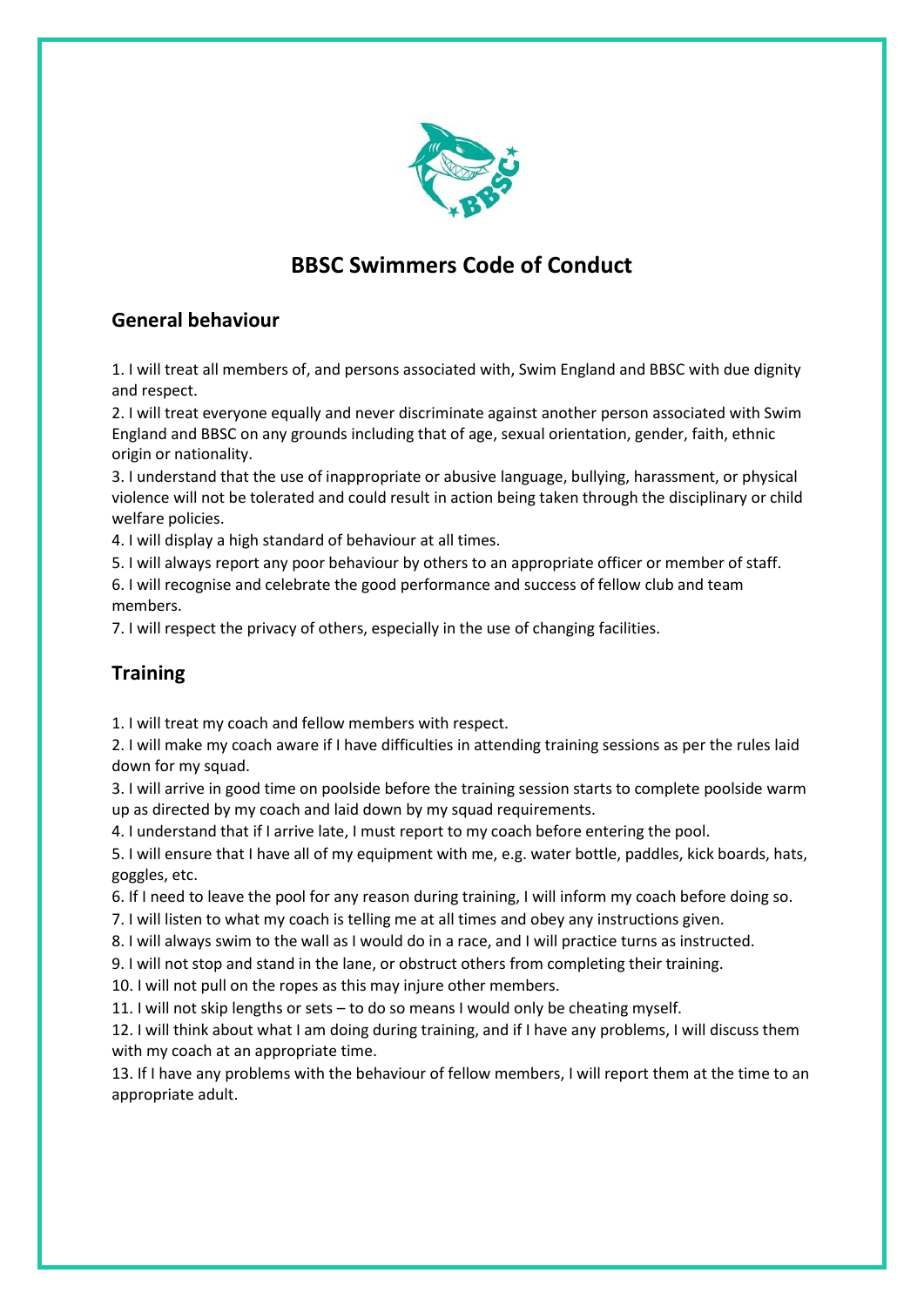

# **BBSC Swimmers Code of Conduct**

#### **General behaviour**

1. I will treat all members of, and persons associated with, Swim England and BBSC with due dignity and respect.

2. I will treat everyone equally and never discriminate against another person associated with Swim England and BBSC on any grounds including that of age, sexual orientation, gender, faith, ethnic origin or nationality.

3. I understand that the use of inappropriate or abusive language, bullying, harassment, or physical violence will not be tolerated and could result in action being taken through the disciplinary or child welfare policies.

4. I will display a high standard of behaviour at all times.

5. I will always report any poor behaviour by others to an appropriate officer or member of staff.

6. I will recognise and celebrate the good performance and success of fellow club and team members.

7. I will respect the privacy of others, especially in the use of changing facilities.

#### **Training**

1. I will treat my coach and fellow members with respect.

2. I will make my coach aware if I have difficulties in attending training sessions as per the rules laid down for my squad.

3. I will arrive in good time on poolside before the training session starts to complete poolside warm up as directed by my coach and laid down by my squad requirements.

4. I understand that if I arrive late, I must report to my coach before entering the pool.

5. I will ensure that I have all of my equipment with me, e.g. water bottle, paddles, kick boards, hats, goggles, etc.

6. If I need to leave the pool for any reason during training, I will inform my coach before doing so.

7. I will listen to what my coach is telling me at all times and obey any instructions given.

8. I will always swim to the wall as I would do in a race, and I will practice turns as instructed.

9. I will not stop and stand in the lane, or obstruct others from completing their training.

10. I will not pull on the ropes as this may injure other members.

11. I will not skip lengths or sets – to do so means I would only be cheating myself.

12. I will think about what I am doing during training, and if I have any problems, I will discuss them with my coach at an appropriate time.

13. If I have any problems with the behaviour of fellow members, I will report them at the time to an appropriate adult.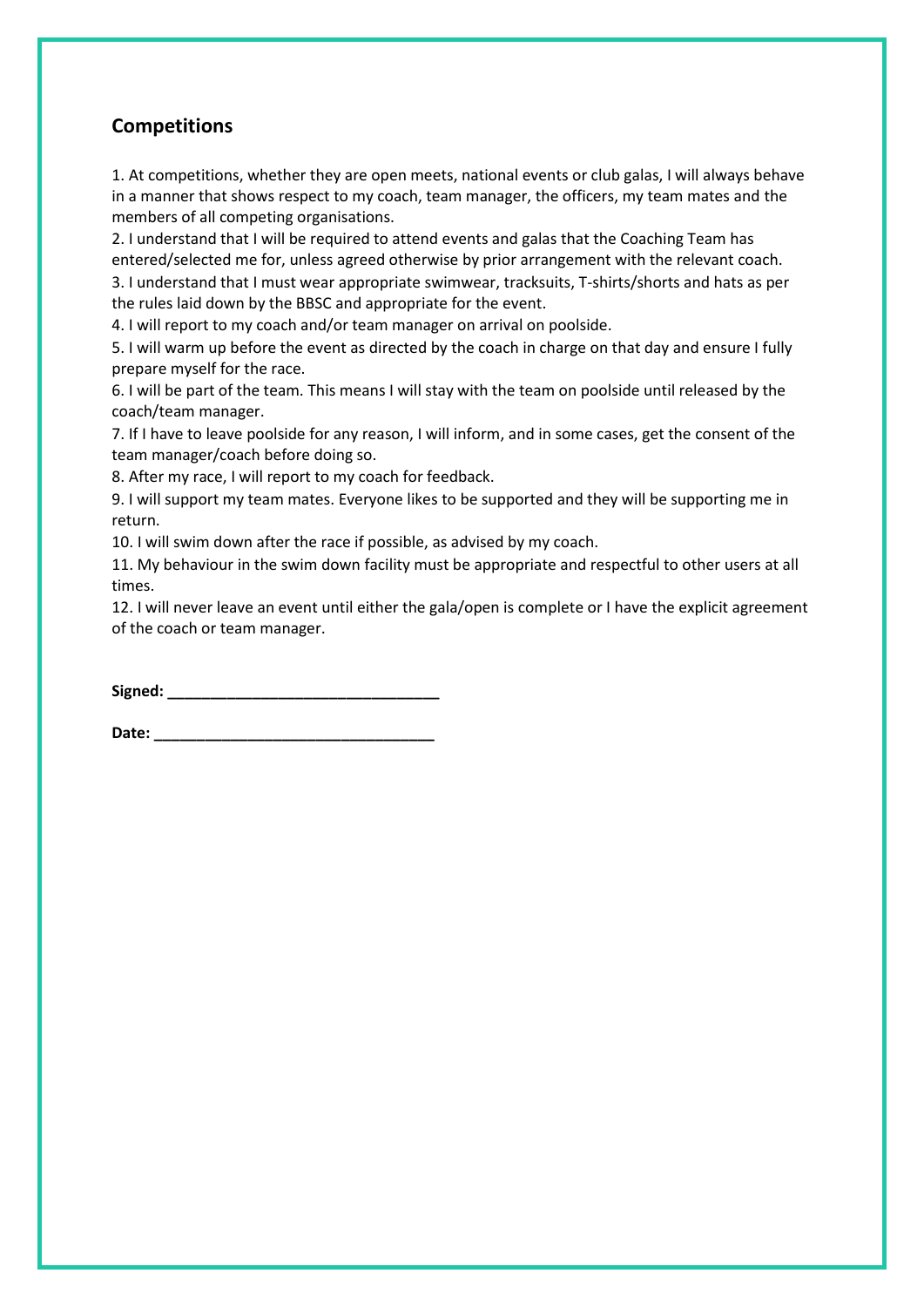#### **Competitions**

1. At competitions, whether they are open meets, national events or club galas, I will always behave in a manner that shows respect to my coach, team manager, the officers, my team mates and the members of all competing organisations.

2. I understand that I will be required to attend events and galas that the Coaching Team has entered/selected me for, unless agreed otherwise by prior arrangement with the relevant coach.

3. I understand that I must wear appropriate swimwear, tracksuits, T-shirts/shorts and hats as per the rules laid down by the BBSC and appropriate for the event.

4. I will report to my coach and/or team manager on arrival on poolside.

5. I will warm up before the event as directed by the coach in charge on that day and ensure I fully prepare myself for the race.

6. I will be part of the team. This means I will stay with the team on poolside until released by the coach/team manager.

7. If I have to leave poolside for any reason, I will inform, and in some cases, get the consent of the team manager/coach before doing so.

8. After my race, I will report to my coach for feedback.

9. I will support my team mates. Everyone likes to be supported and they will be supporting me in return.

10. I will swim down after the race if possible, as advised by my coach.

11. My behaviour in the swim down facility must be appropriate and respectful to other users at all times.

12. I will never leave an event until either the gala/open is complete or I have the explicit agreement of the coach or team manager.

 $Signed:$ 

**Date: \_\_\_\_\_\_\_\_\_\_\_\_\_\_\_\_\_\_\_\_\_\_\_\_\_\_\_\_\_\_\_\_\_**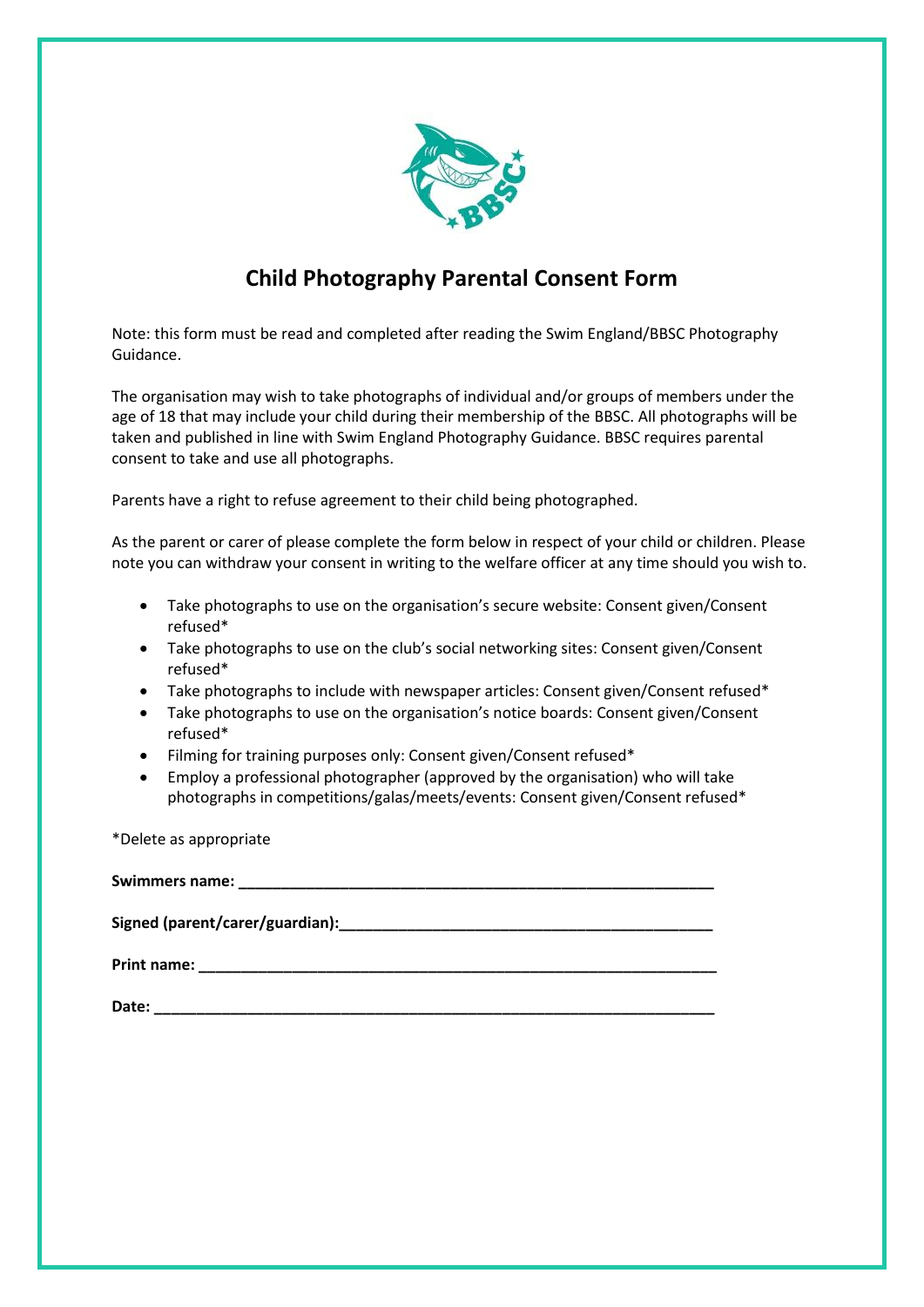

# **Child Photography Parental Consent Form**

Note: this form must be read and completed after reading the Swim England/BBSC Photography Guidance.

The organisation may wish to take photographs of individual and/or groups of members under the age of 18 that may include your child during their membership of the BBSC. All photographs will be taken and published in line with Swim England Photography Guidance. BBSC requires parental consent to take and use all photographs.

Parents have a right to refuse agreement to their child being photographed.

As the parent or carer of please complete the form below in respect of your child or children. Please note you can withdraw your consent in writing to the welfare officer at any time should you wish to.

- Take photographs to use on the organisation's secure website: Consent given/Consent refused\*
- Take photographs to use on the club's social networking sites: Consent given/Consent refused\*
- Take photographs to include with newspaper articles: Consent given/Consent refused\*
- Take photographs to use on the organisation's notice boards: Consent given/Consent refused\*
- Filming for training purposes only: Consent given/Consent refused\*
- Employ a professional photographer (approved by the organisation) who will take photographs in competitions/galas/meets/events: Consent given/Consent refused\*

\*Delete as appropriate

| Date: |
|-------|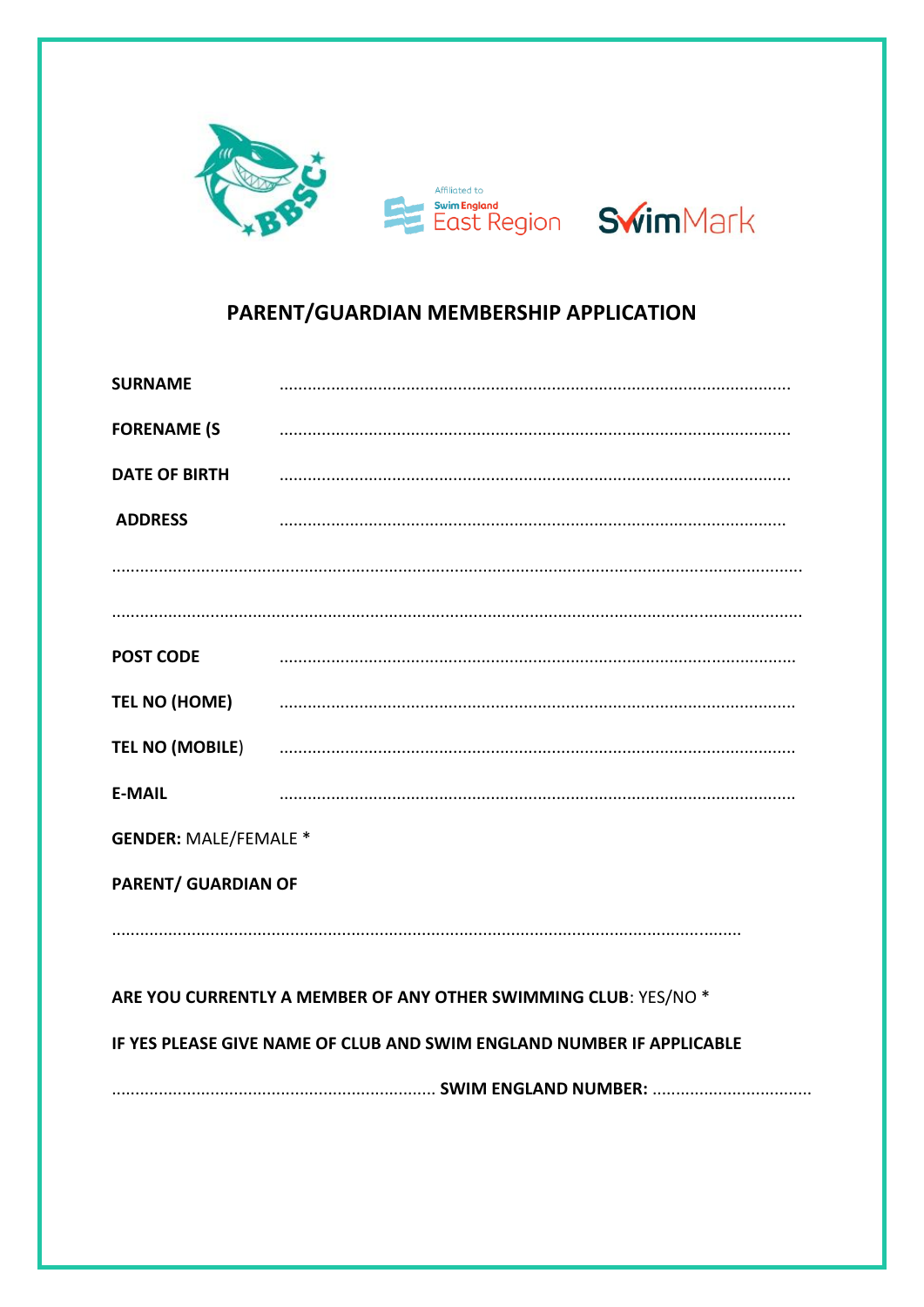

# PARENT/GUARDIAN MEMBERSHIP APPLICATION

| <b>SURNAME</b>                                                        |                                                                                                                                                                                                                                |  |  |
|-----------------------------------------------------------------------|--------------------------------------------------------------------------------------------------------------------------------------------------------------------------------------------------------------------------------|--|--|
| <b>FORENAME (S</b>                                                    |                                                                                                                                                                                                                                |  |  |
|                                                                       |                                                                                                                                                                                                                                |  |  |
| <b>ADDRESS</b>                                                        |                                                                                                                                                                                                                                |  |  |
|                                                                       |                                                                                                                                                                                                                                |  |  |
|                                                                       |                                                                                                                                                                                                                                |  |  |
| <b>POST CODE</b>                                                      |                                                                                                                                                                                                                                |  |  |
|                                                                       | TEL NO (HOME) And the contract of the contract of the contract of the contract of the contract of the contract of the contract of the contract of the contract of the contract of the contract of the contract of the contract |  |  |
|                                                                       |                                                                                                                                                                                                                                |  |  |
| <b>E-MAIL</b>                                                         |                                                                                                                                                                                                                                |  |  |
| <b>GENDER: MALE/FEMALE *</b>                                          |                                                                                                                                                                                                                                |  |  |
| <b>PARENT/ GUARDIAN OF</b>                                            |                                                                                                                                                                                                                                |  |  |
|                                                                       |                                                                                                                                                                                                                                |  |  |
| ARE YOU CURRENTLY A MEMBER OF ANY OTHER SWIMMING CLUB: YES/NO *       |                                                                                                                                                                                                                                |  |  |
|                                                                       |                                                                                                                                                                                                                                |  |  |
| IF YES PLEASE GIVE NAME OF CLUB AND SWIM ENGLAND NUMBER IF APPLICABLE |                                                                                                                                                                                                                                |  |  |
|                                                                       |                                                                                                                                                                                                                                |  |  |
|                                                                       |                                                                                                                                                                                                                                |  |  |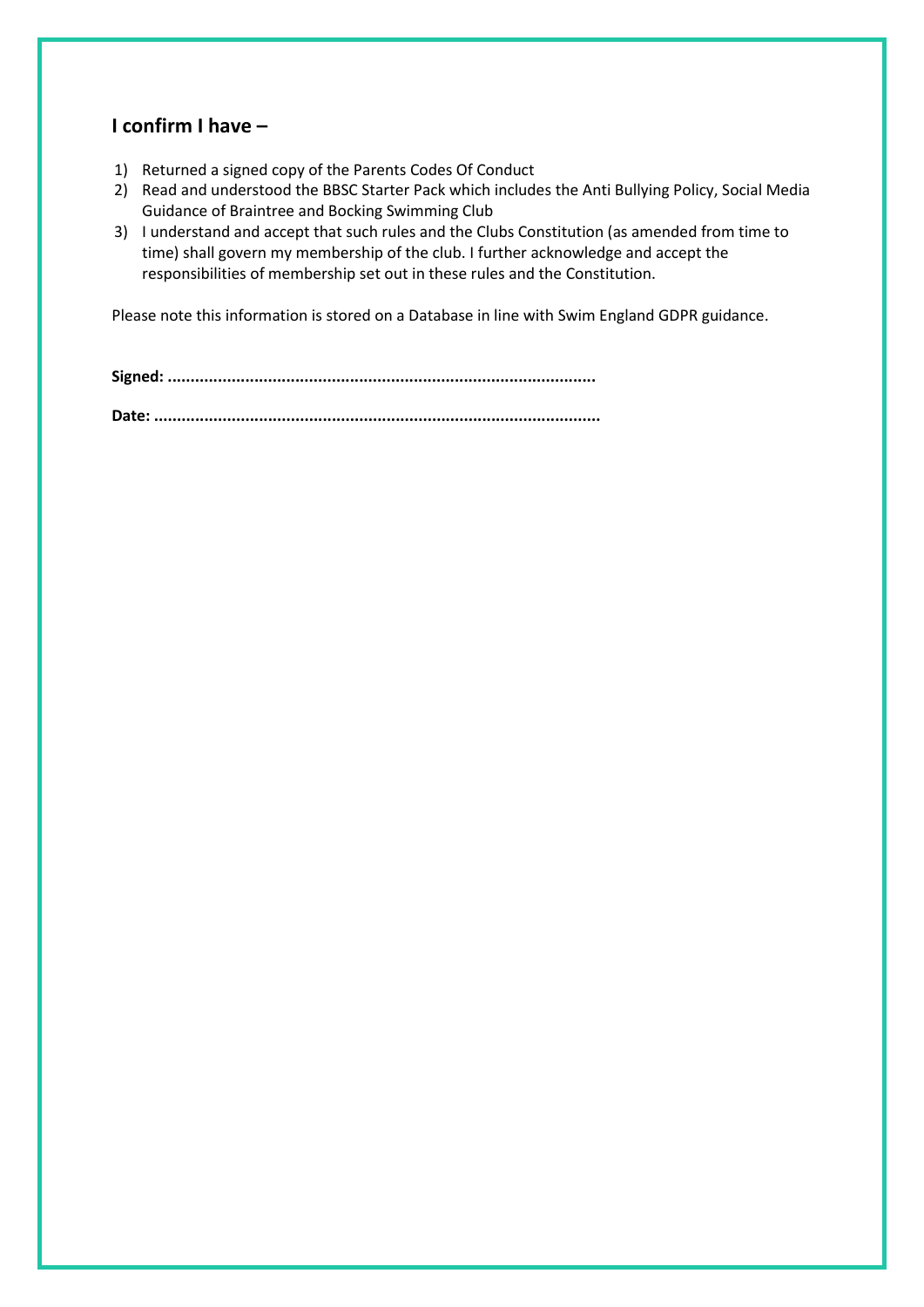#### **I confirm I have –**

- 1) Returned a signed copy of the Parents Codes Of Conduct
- 2) Read and understood the BBSC Starter Pack which includes the Anti Bullying Policy, Social Media Guidance of Braintree and Bocking Swimming Club
- 3) I understand and accept that such rules and the Clubs Constitution (as amended from time to time) shall govern my membership of the club. I further acknowledge and accept the responsibilities of membership set out in these rules and the Constitution.

Please note this information is stored on a Database in line with Swim England GDPR guidance.

**Signed: .............................................................................................. Date: ..................................................................................................**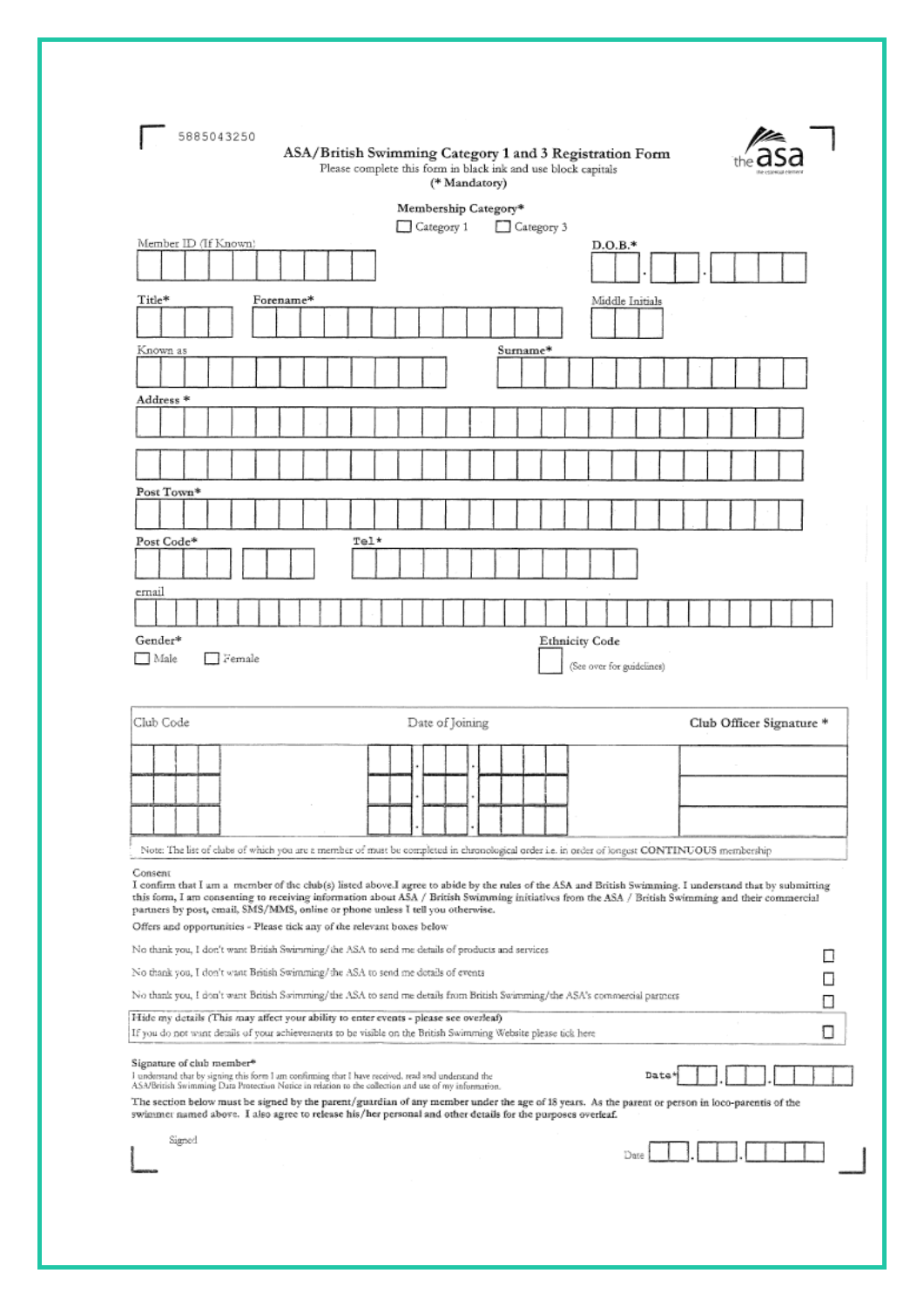| 5885043250<br>ASA/British Swimming Category 1 and 3 Registration Form<br>Please complete this form in black ink and use block capitals<br>(* Mandatory)                                                                                                                                                                                                                                                                                                                                                                         |  |  |  |
|---------------------------------------------------------------------------------------------------------------------------------------------------------------------------------------------------------------------------------------------------------------------------------------------------------------------------------------------------------------------------------------------------------------------------------------------------------------------------------------------------------------------------------|--|--|--|
| Membership Category*                                                                                                                                                                                                                                                                                                                                                                                                                                                                                                            |  |  |  |
| Category 1<br>Category 3                                                                                                                                                                                                                                                                                                                                                                                                                                                                                                        |  |  |  |
| Member ID (If Known)<br>$D.O.B.*$                                                                                                                                                                                                                                                                                                                                                                                                                                                                                               |  |  |  |
|                                                                                                                                                                                                                                                                                                                                                                                                                                                                                                                                 |  |  |  |
| Title*<br>Forename*<br>Middle Initials                                                                                                                                                                                                                                                                                                                                                                                                                                                                                          |  |  |  |
|                                                                                                                                                                                                                                                                                                                                                                                                                                                                                                                                 |  |  |  |
| Surname*<br>Known as                                                                                                                                                                                                                                                                                                                                                                                                                                                                                                            |  |  |  |
|                                                                                                                                                                                                                                                                                                                                                                                                                                                                                                                                 |  |  |  |
| Address *                                                                                                                                                                                                                                                                                                                                                                                                                                                                                                                       |  |  |  |
|                                                                                                                                                                                                                                                                                                                                                                                                                                                                                                                                 |  |  |  |
|                                                                                                                                                                                                                                                                                                                                                                                                                                                                                                                                 |  |  |  |
| Post Town*                                                                                                                                                                                                                                                                                                                                                                                                                                                                                                                      |  |  |  |
|                                                                                                                                                                                                                                                                                                                                                                                                                                                                                                                                 |  |  |  |
| Tel*<br>Post Code*                                                                                                                                                                                                                                                                                                                                                                                                                                                                                                              |  |  |  |
|                                                                                                                                                                                                                                                                                                                                                                                                                                                                                                                                 |  |  |  |
| ernail                                                                                                                                                                                                                                                                                                                                                                                                                                                                                                                          |  |  |  |
|                                                                                                                                                                                                                                                                                                                                                                                                                                                                                                                                 |  |  |  |
| Gender*<br><b>Ethnicity Code</b>                                                                                                                                                                                                                                                                                                                                                                                                                                                                                                |  |  |  |
| Female<br>  Male<br>(See over for guidelines)                                                                                                                                                                                                                                                                                                                                                                                                                                                                                   |  |  |  |
| Club Code<br>Date of Joining<br>Club Officer Signature *                                                                                                                                                                                                                                                                                                                                                                                                                                                                        |  |  |  |
|                                                                                                                                                                                                                                                                                                                                                                                                                                                                                                                                 |  |  |  |
|                                                                                                                                                                                                                                                                                                                                                                                                                                                                                                                                 |  |  |  |
|                                                                                                                                                                                                                                                                                                                                                                                                                                                                                                                                 |  |  |  |
|                                                                                                                                                                                                                                                                                                                                                                                                                                                                                                                                 |  |  |  |
| Note: The list of clubs of which you are a member of must be completed in chronological order i.e. in order of longest CONTINUOUS membership                                                                                                                                                                                                                                                                                                                                                                                    |  |  |  |
| Consent<br>I confirm that I am a member of the club(s) listed above.I agree to abide by the rules of the ASA and British Swimming. I understand that by submitting<br>this form, I am consenting to receiving information about ASA / British Swimming initiatives from the ASA / British Swimming and their commercial<br>partners by post, cmail, SMS/MMS, online or phone unless I tell you otherwise.<br>Offers and opportunities - Please tick any of the relevant boxes below                                             |  |  |  |
| No thank you, I don't want British Swimming/the ASA to send me details of products and services                                                                                                                                                                                                                                                                                                                                                                                                                                 |  |  |  |
| No thank you, I don't want British Swimming/the ASA to send me details of events                                                                                                                                                                                                                                                                                                                                                                                                                                                |  |  |  |
| No thank you, I don't want British Swimming/the ASA to send me details from British Swimming/the ASA's commercial partners                                                                                                                                                                                                                                                                                                                                                                                                      |  |  |  |
| Hide my details (This may affect your ability to enter events - please see overleaf)<br>If you do not want details of your achievements to be visible on the British Swimming Website please tick here                                                                                                                                                                                                                                                                                                                          |  |  |  |
| Signature of club member <sup>®</sup><br>Date<br>I understand that by signing this form I am confirming that I have received, read and understand the<br>ASA/British Swimming Data Protection Notice in relation to the collection and use of my information.<br>The section below must be signed by the parent/guardian of any member under the age of 18 years. As the parent or person in loco-parentis of the<br>swimmer named above. I also agree to release his/her personal and other details for the purposes overleaf. |  |  |  |
| Signed<br>Date                                                                                                                                                                                                                                                                                                                                                                                                                                                                                                                  |  |  |  |
|                                                                                                                                                                                                                                                                                                                                                                                                                                                                                                                                 |  |  |  |

J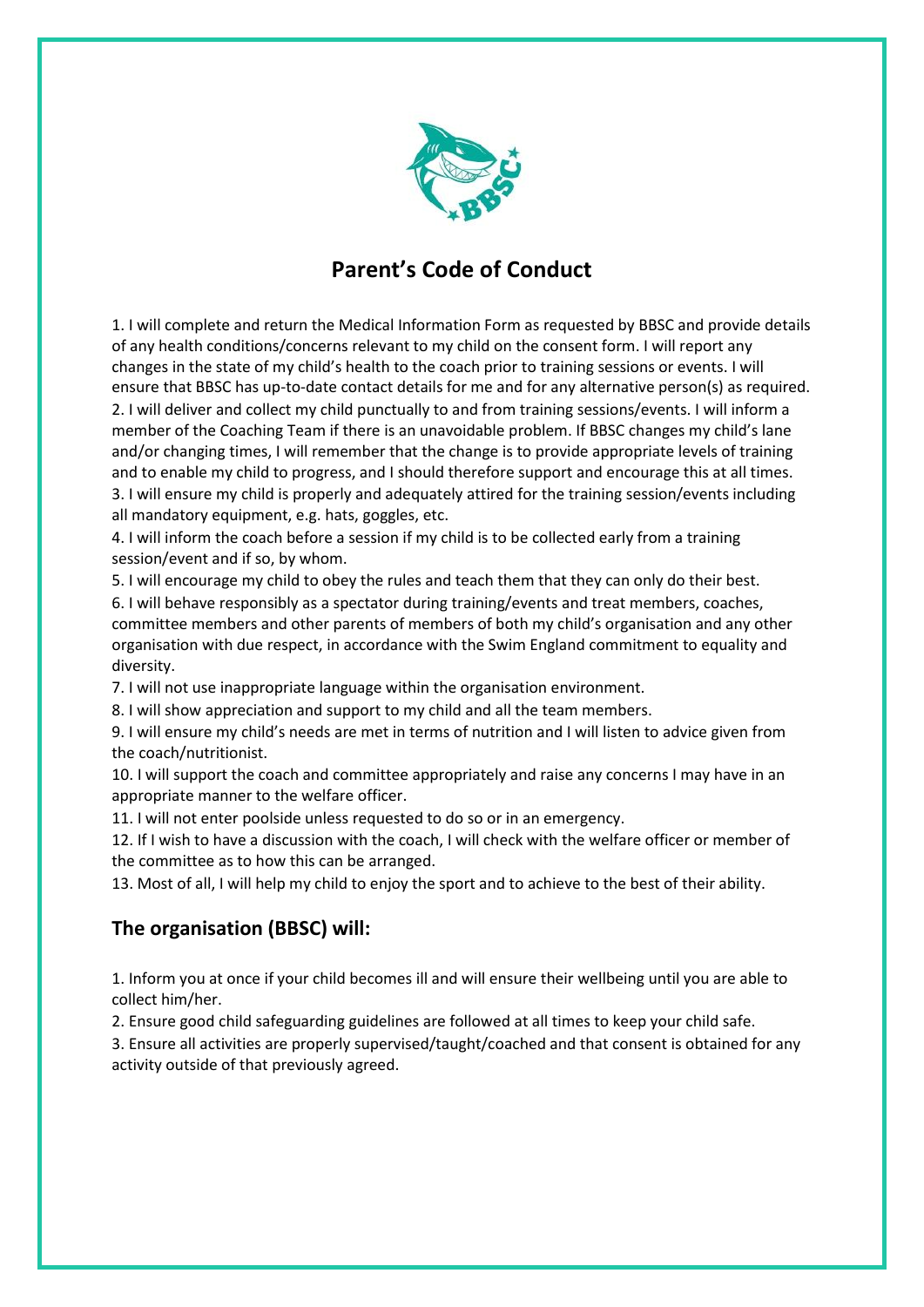

# **Parent's Code of Conduct**

1. I will complete and return the Medical Information Form as requested by BBSC and provide details of any health conditions/concerns relevant to my child on the consent form. I will report any changes in the state of my child's health to the coach prior to training sessions or events. I will ensure that BBSC has up-to-date contact details for me and for any alternative person(s) as required. 2. I will deliver and collect my child punctually to and from training sessions/events. I will inform a member of the Coaching Team if there is an unavoidable problem. If BBSC changes my child's lane and/or changing times, I will remember that the change is to provide appropriate levels of training and to enable my child to progress, and I should therefore support and encourage this at all times. 3. I will ensure my child is properly and adequately attired for the training session/events including all mandatory equipment, e.g. hats, goggles, etc.

4. I will inform the coach before a session if my child is to be collected early from a training session/event and if so, by whom.

5. I will encourage my child to obey the rules and teach them that they can only do their best.

6. I will behave responsibly as a spectator during training/events and treat members, coaches, committee members and other parents of members of both my child's organisation and any other organisation with due respect, in accordance with the Swim England commitment to equality and diversity.

7. I will not use inappropriate language within the organisation environment.

8. I will show appreciation and support to my child and all the team members.

9. I will ensure my child's needs are met in terms of nutrition and I will listen to advice given from the coach/nutritionist.

10. I will support the coach and committee appropriately and raise any concerns I may have in an appropriate manner to the welfare officer.

11. I will not enter poolside unless requested to do so or in an emergency.

12. If I wish to have a discussion with the coach, I will check with the welfare officer or member of the committee as to how this can be arranged.

13. Most of all, I will help my child to enjoy the sport and to achieve to the best of their ability.

#### **The organisation (BBSC) will:**

1. Inform you at once if your child becomes ill and will ensure their wellbeing until you are able to collect him/her.

2. Ensure good child safeguarding guidelines are followed at all times to keep your child safe.

3. Ensure all activities are properly supervised/taught/coached and that consent is obtained for any activity outside of that previously agreed.